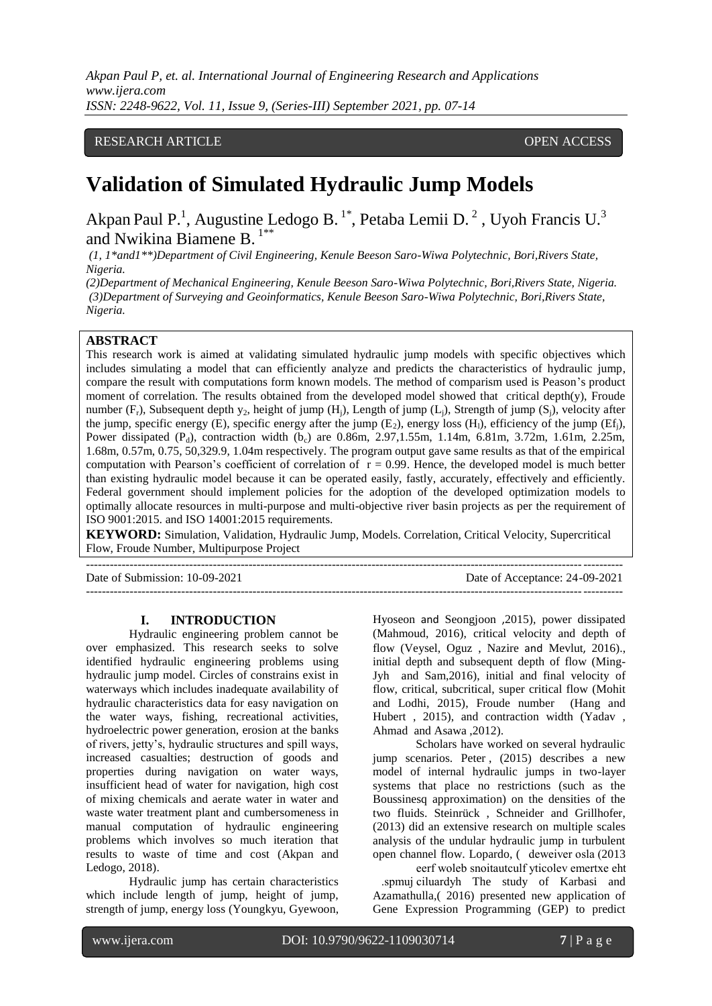# RESEARCH ARTICLE **CONSERVERS** OPEN ACCESS

# **Validation of Simulated Hydraulic Jump Models**

Akpan Paul P.<sup>1</sup>, Augustine Ledogo B.<sup>1\*</sup>, Petaba Lemii D.<sup>2</sup>, Uyoh Francis U.<sup>3</sup> and Nwikina Biamene B. 1\*\*

*(1, 1\*and1\*\*)Department of Civil Engineering, Kenule Beeson Saro-Wiwa Polytechnic, Bori,Rivers State, Nigeria.*

*(2)Department of Mechanical Engineering, Kenule Beeson Saro-Wiwa Polytechnic, Bori,Rivers State, Nigeria. (3)Department of Surveying and Geoinformatics, Kenule Beeson Saro-Wiwa Polytechnic, Bori,Rivers State, Nigeria.*

# **ABSTRACT**

This research work is aimed at validating simulated hydraulic jump models with specific objectives which includes simulating a model that can efficiently analyze and predicts the characteristics of hydraulic jump, compare the result with computations form known models. The method of comparism used is Peason's product moment of correlation. The results obtained from the developed model showed that critical depth(y), Froude number  $(F_r)$ , Subsequent depth y<sub>2</sub>, height of jump  $(H_i)$ , Length of jump  $(L_i)$ , Strength of jump  $(S_i)$ , velocity after the jump, specific energy (E), specific energy after the jump  $(E_2)$ , energy loss  $(H_1)$ , efficiency of the jump  $(E_1)$ , Power dissipated (P<sub>d</sub>), contraction width (b<sub>c</sub>) are 0.86m, 2.97,1.55m, 1.14m, 6.81m, 3.72m, 1.61m, 2.25m, 1.68m, 0.57m, 0.75, 50,329.9, 1.04m respectively. The program output gave same results as that of the empirical computation with Pearson's coefficient of correlation of  $r = 0.99$ . Hence, the developed model is much better than existing hydraulic model because it can be operated easily, fastly, accurately, effectively and efficiently. Federal government should implement policies for the adoption of the developed optimization models to optimally allocate resources in multi-purpose and multi-objective river basin projects as per the requirement of ISO 9001:2015. and ISO 14001:2015 requirements.

**KEYWORD:** Simulation, Validation, Hydraulic Jump, Models. Correlation, Critical Velocity, Supercritical Flow, Froude Number, Multipurpose Project

---------------------------------------------------------------------------------------------------------------------------------------

Date of Submission: 10-09-2021 Date of Acceptance: 24-09-2021

## **I. INTRODUCTION**

---------------------------------------------------------------------------------------------------------------------------------------

Hydraulic engineering problem cannot be over emphasized. This research seeks to solve identified hydraulic engineering problems using hydraulic jump model. Circles of constrains exist in waterways which includes inadequate availability of hydraulic characteristics data for easy navigation on the water ways, fishing, recreational activities, hydroelectric power generation, erosion at the banks of rivers, jetty's, hydraulic structures and spill ways, increased casualties; destruction of goods and properties during navigation on water ways, insufficient head of water for navigation, high cost of mixing chemicals and aerate water in water and waste water treatment plant and cumbersomeness in manual computation of hydraulic engineering problems which involves so much iteration that results to waste of time and cost (Akpan and Ledogo, 2018).

Hydraulic jump has certain characteristics which include length of jump, height of jump, strength of jump, energy loss [\(Youngkyu,](http://www.mdpi.com/search?authors=Youngkyu%20Kim&orcid=) [Gyewoon,](http://www.mdpi.com/search?authors=Gyewoon%20Choi&orcid=) [Hyoseon](http://www.mdpi.com/search?authors=Hyoseon%20Park&orcid=) and [Seongjoon](http://www.mdpi.com/search?authors=Seongjoon%20Byeon&orcid=) ,2015), power dissipated (Mahmoud, 2016), critical velocity and depth of flow [\(Veysel,](http://ascelibrary.org/author/Gumus%2C+Veysel) [Oguz ,](http://ascelibrary.org/author/Simsek%2C+Oguz) [Nazire](http://ascelibrary.org/author/Soydan%2C+Nazire+Goksu) and [Mevlut](http://ascelibrary.org/author/Akoz%2C+Mevlut+Sami), 2016)., initial depth and subsequent depth of flow [\(Ming-](http://ascelibrary.org/author/Chern%2C+Ming-Jyh)[Jyh](http://ascelibrary.org/author/Chern%2C+Ming-Jyh) and [Sam,](http://ascelibrary.org/author/Syamsuri%2C+Sam)2016), initial and final velocity of flow, critical, subcritical, super critical flow (Mohit and [Lodhi,](http://www.tandfonline.com/author/Lodhi%2C+AS) 2015), Froude number [\(Hang](http://ascelibrary.org/author/Wang%2C+Hang) and [Hubert ,](http://ascelibrary.org/author/Chanson%2C+Hubert) 2015), and contraction width (Yadav , [Ahmad a](http://www.tandfonline.com/author/Ahmad%2C+Z)nd Asawa ,2012).

Scholars have worked on several hydraulic jump scenarios. [Peter](https://www.cambridge.org/core/search?filters%5BauthorTerms%5D=Peter%C2%A0G.%20Baines&eventCode=SE-AU) , (2015) describes a new model of internal hydraulic jumps in two-layer systems that place no restrictions (such as the Boussinesq approximation) on the densities of the two fluids. Steinrück , Schneider and Grillhofer, (2013) did an extensive research on multiple scales analysis of the undular hydraulic jump in turbulent open channel flow. Lopardo, ( deweiver osla (2013)

eerf woleb snoitautculf yticolev emertxe eht .spmuj ciluardyh The study of Karbasi and Azamathulla,( 2016) presented new application of Gene Expression Programming (GEP) to predict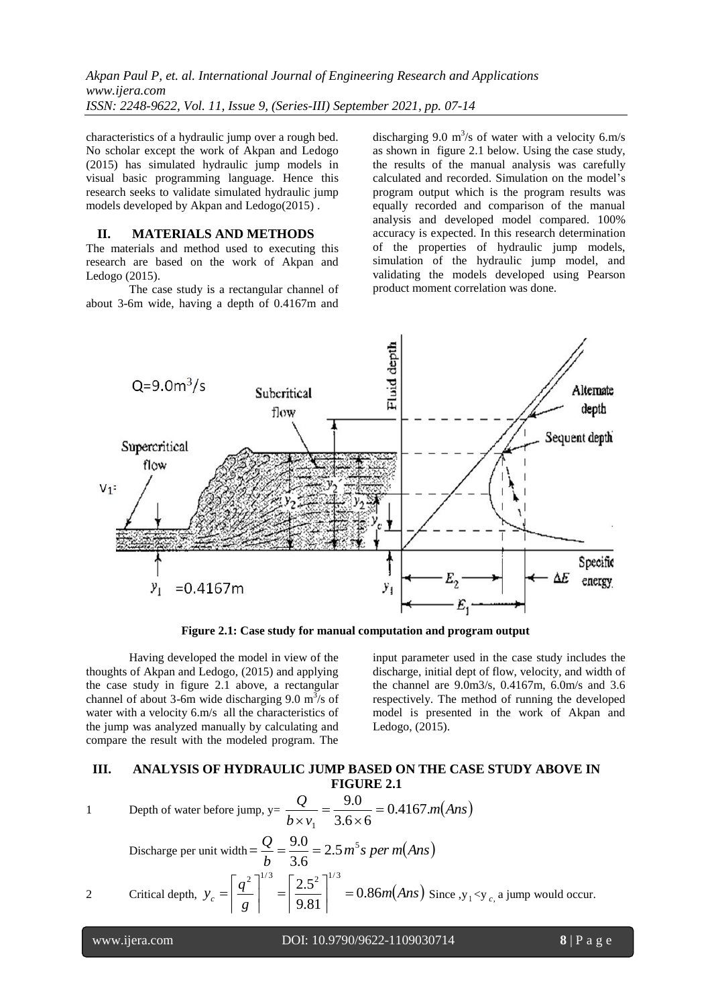characteristics of a hydraulic jump over a rough bed. No scholar except the work of Akpan and Ledogo (2015) has simulated hydraulic jump models in visual basic programming language. Hence this research seeks to validate simulated hydraulic jump models developed by Akpan and Ledogo(2015) .

## **II. MATERIALS AND METHODS**

The materials and method used to executing this research are based on the work of Akpan and Ledogo (2015).

The case study is a rectangular channel of about 3-6m wide, having a depth of 0.4167m and

discharging 9.0  $m^3$ /s of water with a velocity 6.m/s as shown in figure 2.1 below. Using the case study, the results of the manual analysis was carefully calculated and recorded. Simulation on the model's program output which is the program results was equally recorded and comparison of the manual analysis and developed model compared. 100% accuracy is expected. In this research determination of the properties of hydraulic jump models, simulation of the hydraulic jump model, and validating the models developed using Pearson product moment correlation was done.



**Figure 2.1: Case study for manual computation and program output**

Having developed the model in view of the thoughts of Akpan and Ledogo, (2015) and applying the case study in figure 2.1 above, a rectangular channel of about 3-6m wide discharging 9.0  $\text{m}^3$ /s of water with a velocity 6.m/s all the characteristics of the jump was analyzed manually by calculating and compare the result with the modeled program. The

input parameter used in the case study includes the discharge, initial dept of flow, velocity, and width of the channel are 9.0m3/s, 0.4167m, 6.0m/s and 3.6 respectively. The method of running the developed model is presented in the work of Akpan and Ledogo, (2015).

# **III. ANALYSIS OF HYDRAULIC JUMP BASED ON THE CASE STUDY ABOVE IN FIGURE 2.1**

1 Depth of water before jump, 
$$
y = \frac{Q}{b \times v_1} = \frac{9.0}{3.6 \times 6} = 0.4167 \text{ m} (Ans)
$$

*g*

 $\mathbf{r}$ 

Discharge per unit width  $= \frac{Q}{r} = \frac{3.6}{3.6} = 2.5 m^5 s$  per m(Ans) *b*  $\frac{Q}{I} = \frac{9.0}{2.5} = 2.5 m^5$ 3.6  $=\frac{9.0}{1.0}$ 2 Critical depth,  $y_c = \left| \frac{q}{q} \right| = \left| \frac{2.5}{0.01} \right| = 0.86m \text{(Ans)}$  $y_c = \left| \frac{q^2}{g} \right|^{1/3} = \left| \frac{2.5^2}{9.81} \right|^{1/3} = 0.86$ <sup>2</sup><sup>1/3</sup>  $\left[2.5^2\right]^{1/3}$  $\vert$  =  $\overline{\phantom{a}}$  $\mathbf{r}$  $\mathbf{r}$  $\vert$  =  $\overline{\phantom{a}}$  $\mathbf{r}$  $\mathbf{r}$  $S = \left| \frac{q}{q} \right| = \left| \frac{2.5}{0.81} \right| = 0.86m \text{(Ans)}$  Since  $y_1 < y_c$  a jump would occur.

 

www.ijera.com DOI: 10.9790/9622-1109030714 **8** | P a g e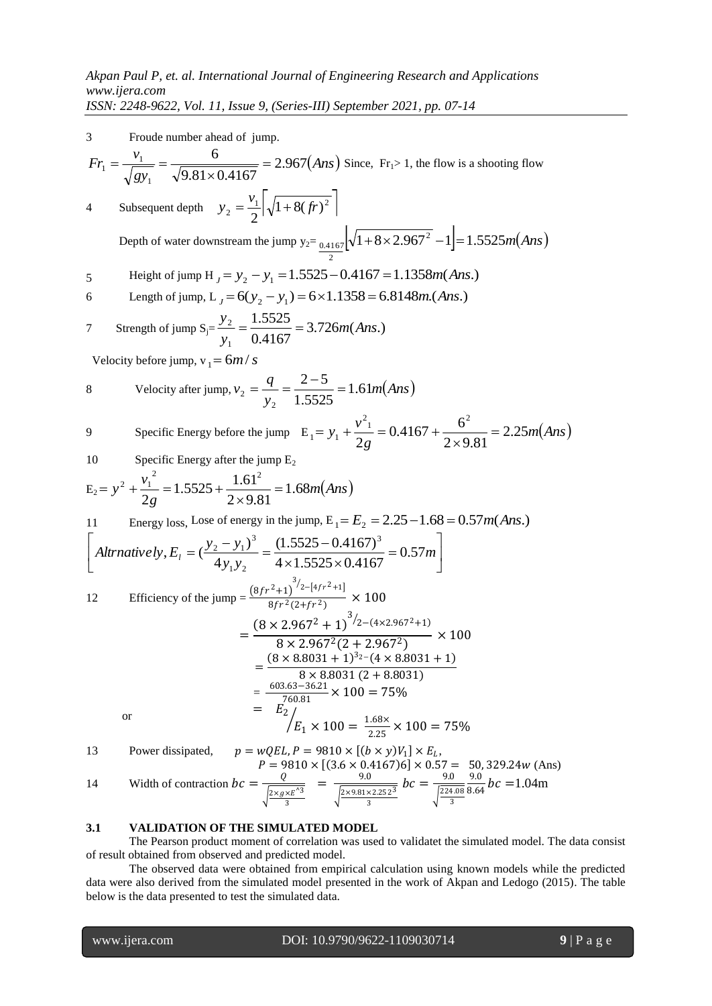3 Froude number ahead of jump. *Ans gy*  $Fr_1 = \frac{v_1}{\sqrt{u_1^2 + 2v_2^2}} = \frac{6}{\sqrt{u_1^2 + 2v_1^2}} = 2.967$  $9.81 \times 0.4167$ 6 1  $\frac{v_1}{1} = \frac{v_1}{\sqrt{2.81 \cdot 0.1167}} =$  $\times$  $\frac{v_1}{\sqrt{v_1^2 + v_2^2}} = \frac{6}{\sqrt{5.31 \cdot 10^{11} \cdot 10^{11}}} = 2.967 \text{(Ans)}$  Since, Fr<sub>1</sub>> 1, the flow is a shooting flow 4 Subsequent depth  $y_2 = \frac{v_1}{2} \left| \sqrt{1 + 8(fr)^2} \right|$ 2  $=\frac{v_1}{2}\sqrt{1+8(fr)}$ Depth of water downstream the jump  $y_{2} = 0.4167 \sqrt{1 + 8 \times 2.967^2 - 1} = 1.5525 m (Ans)$ 2  $_{0.4167}[\sqrt{1+8\times2.967^2}-1]$ 5 Height of jump H<sub>J</sub> =  $y_2 - y_1 = 1.5525 - 0.4167 = 1.1358m(Ans.)$ 6 Length of jump,  $L_J = 6(y_2 - y_1) = 6 \times 1.1358 = 6.8148$ m.(*Ans.*) 7 Strength of jump  $S_{\overline{j}} = \frac{y_2}{2} = \frac{1.3323}{2} = 3.726m(Ans.)$ 0.4167 1.5525 1  $\frac{2}{2} = \frac{1.3323}{8.4457} = 3.726m(Ans)$ *y y*  $=\frac{1.5525}{0.11.27}$ Velocity before jump,  $v_1 = 6m/s$ 8 Velocity after jump,  $v_2 = \frac{q}{\lambda} = \frac{2}{\lambda} = 1.61m(Ans)$ *y*  $v_2 = \frac{q}{1.5525} = 1.61$ 1.5525  $2 - 5$ 2  $\frac{q}{2} = \frac{q}{1} = \frac{2-5}{1.5525} =$ 9 Specific Energy before the jump  $E_1 = y_1 + \frac{y_1}{2} = 0.4167 + \frac{9}{2} = 2.25m(Ans)$ *g*  $y_1 + \frac{v^2}{2} = 0.4167 + \frac{6^2}{2} = 2.25$  $2 \times 9.81$  $0.4167 + \frac{6}{1}$ 2  $^{2}$ <sub>1</sub> 0.4167  $^{2}$  $y_1 = y_1 + \frac{v_1}{2g} = 0.4167 + \frac{0}{2 \times 9.81} =$  $= y_1 + \frac{v_1}{2} = 0.4167 +$ 10 Specific Energy after the jump  $E_2$  $E_2 = y^2 + \frac{v_1}{2} = 1.5525 + \frac{1.01}{2.0024} = 1.68m(Ans)$ *g*  $y^2 + \frac{v_1^2}{2} = 1.5525 + \frac{1.61^2}{2} = 1.68$  $2 \times 9.81$  $1.5525 + \frac{1.61}{2.8}$ 2 2 1  $\epsilon$ 1<sup>2</sup>  $x^2 + \frac{v_1}{2} = 1.5525 + \frac{1.01}{2.0025} =$  $\times$  $= y^2 + \frac{v_1}{2} = 1.5525 +$ 11 Energy loss, Lose of energy in the jump,  $E_1 = E_2 = 2.25 - 1.68 = 0.57m(Ans.)$  $\ddot{\phantom{0}}$  $\frac{1}{2}$   $\mathsf{L}$ L  $\mathsf{L}$  $=$  $\times1.5525\times$  $=\left(\frac{y_2-y_1}{\cdot}\right)^3=\frac{(1.5525-0.4167)^3}{(1.5525-0.4167)^3}=0.57m$ *y y Altrnatively*,  $E_i = (\frac{y_2 - y_1)^3}{4y_1y_2} = \frac{(1.5525 - 0.4167)^3}{4 \times 1.5525 \times 0.4167} = 0.57$  $(1.5525 - 0.4167)$ 4  $E_1 = (\frac{y_2 - y_1}{\cdot})$ 3  $1 y_2$ 3 2  $y_1$ 12 Efficiency of the jump =  $\frac{(8fr^2+1)^{3/2-[4fr^2+1]}}{8\pi r^2(2+5r^2)}$  $8fr$  $\frac{1}{(2+fr^2)} \times 100$ =  $(8 \times 2.967^2 + 1)^{3/2 - (4 \times 2.967^2 + 1)}$  $\frac{3 \times 2.967^2 (2 + 2.967^2)}{8 \times 2.967^2 (2 + 2.967^2)} \times 100$  $=\frac{(8 \times 8.8031 + 1)^{3_2-(4 \times 8.8031 + 1)}}{2 \times 2.8031(2 + 2.8031)}$  $8 \times 8.8031 (2 + 8.8031)$  $=\frac{603.63-36.21}{760.81} \times 100 = 75\%$  or  $=$   $E_2$  $E_1 \times 100 = \frac{1.68 \times 100}{2.25}$  $\sqrt{E_1 \times 100} = \frac{1.68 \times 100}{2.25} \times 100 = 75\%$ 13 Power dissipated,  $p = wQEL, P = 9810 \times [(b \times y)V_1] \times E_L$ ,

$$
P = 9810 \times [(3.6 \times 0.4167)6] \times 0.57 = 50,329.24w \text{ (Ans)}
$$
  
14 Width of contraction  $bc = \frac{Q}{\sqrt{\frac{2 \times g \times E^{\prime 3}}{3}}} = \frac{9.0}{\sqrt{\frac{2 \times 9.81 \times 2.252^3}{3}}}bc = \frac{9.0}{\sqrt{\frac{224.08}{3}}.64}bc = 1.04 \text{ m}$ 

## **3.1 VALIDATION OF THE SIMULATED MODEL**

The Pearson product moment of correlation was used to validatet the simulated model. The data consist of result obtained from observed and predicted model.

The observed data were obtained from empirical calculation using known models while the predicted data were also derived from the simulated model presented in the work of Akpan and Ledogo (2015). The table below is the data presented to test the simulated data.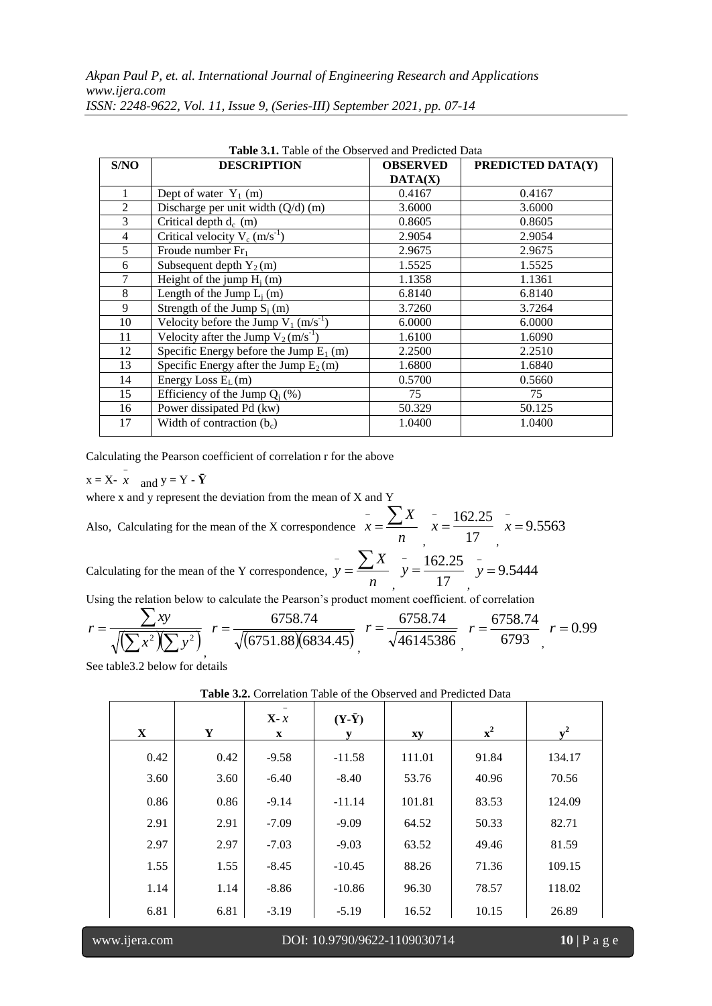| S/NO           | <b>DESCRIPTION</b>                                  | <b>OBSERVED</b> | PREDICTED DATA(Y) |
|----------------|-----------------------------------------------------|-----------------|-------------------|
|                |                                                     | DATA(X)         |                   |
| 1              | Dept of water $Y_1$ (m)                             | 0.4167          | 0.4167            |
| 2              | Discharge per unit width $(Q/d)$ (m)                | 3.6000          | 3.6000            |
| 3              | Critical depth $d_c$ (m)                            | 0.8605          | 0.8605            |
| $\overline{4}$ | Critical velocity $V_c$ (m/s <sup>-1</sup> )        | 2.9054          | 2.9054            |
| 5              | Froude number $Fr_1$                                | 2.9675          | 2.9675            |
| 6              | Subsequent depth $Y_2(m)$                           | 1.5525          | 1.5525            |
| 7              | Height of the jump $H_i(m)$                         | 1.1358          | 1.1361            |
| 8              | Length of the Jump $L_i(m)$                         | 6.8140          | 6.8140            |
| 9              | Strength of the Jump $S_i(m)$                       | 3.7260          | 3.7264            |
| 10             | Velocity before the Jump $V_1$ (m/s <sup>-1</sup> ) | 6.0000          | 6.0000            |
| 11             | Velocity after the Jump $V_2(m/s^{-1})$             | 1.6100          | 1.6090            |
| 12             | Specific Energy before the Jump $E_1$ (m)           | 2.2500          | 2.2510            |
| 13             | Specific Energy after the Jump $\overline{E_2(m)}$  | 1.6800          | 1.6840            |
| 14             | Energy Loss $E_L(m)$                                | 0.5700          | 0.5660            |
| 15             | Efficiency of the Jump $Q_i$ (%)                    | 75              | 75                |
| 16             | Power dissipated Pd (kw)                            | 50.329          | 50.125            |
| 17             | Width of contraction $(bc)$                         | 1.0400          | 1.0400            |

**Table 3.1.** Table of the Observed and Predicted Data

Calculating the Pearson coefficient of correlation r for the above

 $x = X - \overline{x}$  and  $y = Y - \overline{Y}$ 

where x and y represent the deviation from the mean of X and Y

Also, Calculating for the mean of the X correspondence  $x = \frac{a}{n}$  $\overline{x} = \frac{\sum X}{\sum x}$  $,$  17  $\bar{x} = \frac{162.25}{15}$ ,  $\bar{x}$  = 9.5563

Calculating for the mean of the Y correspondence,  $y = \frac{z}{n}$ *X*  $\frac{1}{y} = \sum$  $,$  17  $y = \frac{162.25}{17}$ ,  $y = 9.5444$ 

Using the relation below to calculate the Pearson's product moment coefficient. of correlation

$$
r = \frac{\sum xy}{\sqrt{\left(\sum x^2/\sum y^2\right)}} \ r = \frac{6758.74}{\sqrt{(6751.88)(6834.45)}} \ r = \frac{6758.74}{\sqrt{46145386}} \ r = \frac{6758.74}{6793} \ r = 0.99
$$

See table3.2 below for details

| $\mathbf{X}$ | Y    | $X - x$<br>$\mathbf{X}$ | $(Y-\bar{Y})$<br>у | xy     | $\mathbf{x}^2$ | $v^2$  |  |
|--------------|------|-------------------------|--------------------|--------|----------------|--------|--|
| 0.42         | 0.42 | $-9.58$                 | $-11.58$           | 111.01 | 91.84          | 134.17 |  |
| 3.60         | 3.60 | $-6.40$                 | $-8.40$            | 53.76  | 40.96          | 70.56  |  |
| 0.86         | 0.86 | $-9.14$                 | $-11.14$           | 101.81 | 83.53          | 124.09 |  |
| 2.91         | 2.91 | $-7.09$                 | $-9.09$            | 64.52  | 50.33          | 82.71  |  |
| 2.97         | 2.97 | $-7.03$                 | $-9.03$            | 63.52  | 49.46          | 81.59  |  |
| 1.55         | 1.55 | $-8.45$                 | $-10.45$           | 88.26  | 71.36          | 109.15 |  |
| 1.14         | 1.14 | $-8.86$                 | $-10.86$           | 96.30  | 78.57          | 118.02 |  |
| 6.81         | 6.81 | $-3.19$                 | $-5.19$            | 16.52  | 10.15          | 26.89  |  |

**Table 3.2.** Correlation Table of the Observed and Predicted Data

www.ijera.com DOI: 10.9790/9622-1109030714 **10** | P a g e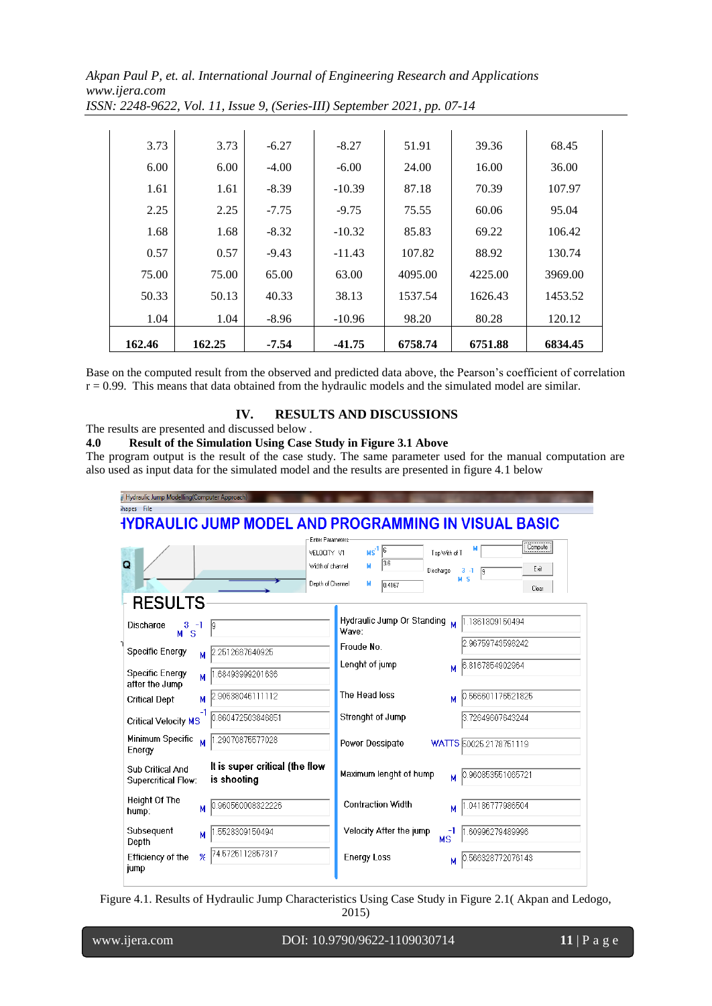| 1.68<br>0.57<br>75.00<br>50.33<br>1.04 | 0.57<br>75.00<br>50.13<br>1.04 | $-9.43$<br>65.00<br>40.33<br>$-8.96$ | $-11.43$<br>63.00<br>38.13<br>$-10.96$ | 107.82<br>4095.00<br>1537.54<br>98.20 | 88.92<br>4225.00<br>1626.43<br>80.28 | 130.74<br>3969.00<br>1453.52<br>120.12 |
|----------------------------------------|--------------------------------|--------------------------------------|----------------------------------------|---------------------------------------|--------------------------------------|----------------------------------------|
|                                        |                                |                                      |                                        |                                       |                                      |                                        |
|                                        |                                |                                      |                                        |                                       |                                      |                                        |
|                                        |                                |                                      |                                        |                                       |                                      |                                        |
|                                        |                                |                                      |                                        |                                       |                                      |                                        |
|                                        | 1.68                           | $-8.32$                              | $-10.32$                               | 85.83                                 | 69.22                                | 106.42                                 |
| 2.25                                   | 2.25                           | $-7.75$                              | $-9.75$                                | 75.55                                 | 60.06                                | 95.04                                  |
| 1.61                                   | 1.61                           | $-8.39$                              | $-10.39$                               | 87.18                                 | 70.39                                | 107.97                                 |
| 6.00                                   | 6.00                           | $-4.00$                              | $-6.00$                                | 24.00                                 | 16.00                                | 36.00                                  |
| 3.73                                   | 3.73                           | $-6.27$                              | $-8.27$                                | 51.91                                 | 39.36                                | 68.45                                  |

Base on the computed result from the observed and predicted data above, the Pearson's coefficient of correlation  $r = 0.99$ . This means that data obtained from the hydraulic models and the simulated model are similar.

# **IV. RESULTS AND DISCUSSIONS**

The results are presented and discussed below .<br> **4.0 Result of the Simulation Listing Case** 

| 4.0 | Result of the Simulation Using Case Study in Figure 3.1 Above                                              |
|-----|------------------------------------------------------------------------------------------------------------|
|     | The program output is the result of the case study. The same parameter used for the manual computation are |
|     | also used as input data for the simulated model and the results are presented in figure 4.1 below          |
|     |                                                                                                            |
|     | <b>Charles die Joseph Medelling (Commuter American U.V.</b>                                                |

| hapes File                                                                               |                                                                                       |
|------------------------------------------------------------------------------------------|---------------------------------------------------------------------------------------|
|                                                                                          | <b>IYDRAULIC JUMP MODEL AND PROGRAMMING IN VISUAL BASIC</b>                           |
|                                                                                          | <b>Enter Parameters</b>                                                               |
|                                                                                          | Compute<br>$MS^{-1}$ <sup>6</sup><br>VELOCITY V1<br>Top With of T                     |
| Q                                                                                        | 3.6<br>Width of channel<br>м<br>Exit<br>Discharge<br>$3 - 1$<br>$\overline{9}$<br>M S |
|                                                                                          | Depth of Channel<br>м<br>0.4167<br>Clear                                              |
| <b>RESULTS</b>                                                                           |                                                                                       |
| Discharge<br>3<br>-1<br>19<br><sub>S</sub><br>м                                          | Hydraulic Jump Or Standing M<br>1.1361309150494<br>Wave:                              |
| <b>Specific Energy</b><br>2512687640925<br>М                                             | 2.96759743598242<br>Froude No.                                                        |
|                                                                                          | Lenght of jump<br>6.8167854902964<br>м                                                |
| <b>Specific Energy</b><br>.68493999201636<br>M<br>after the Jump                         |                                                                                       |
| 2.90538046111112<br><b>Critical Dept</b><br>м                                            | The Head loss<br>0.566601176521825<br>м                                               |
| 0.860472503846851<br>Critical Velocity MS                                                | Strenght of Jump<br>3.72649607643244                                                  |
| Minimum Specific<br>1.29070875577028<br>M<br>Energy                                      | Power Dessipate<br>WATTS 50025.2178751119                                             |
| It is super critical (the flow<br>Sub Critical And<br>is shooting<br>Supercritical Flow: | Maximum lenght of hump<br>0.960853551065721                                           |
| <b>Height Of The</b><br>0.960560008322226<br>м<br>hump:                                  | <b>Contraction Width</b><br>1.04186777986504<br>м                                     |
| Subsequent<br>.5528309150494<br>м<br>Depth                                               | Velocity After the jump<br>1.60996279489996<br><b>MS</b>                              |
| 74.5725112857317<br>Efficiency of the<br>$\mathcal{H}$<br>jump                           | <b>Energy Loss</b><br>0.566328772076143<br>м                                          |

Figure 4.1. Results of Hydraulic Jump Characteristics Using Case Study in Figure 2.1( Akpan and Ledogo,

2015)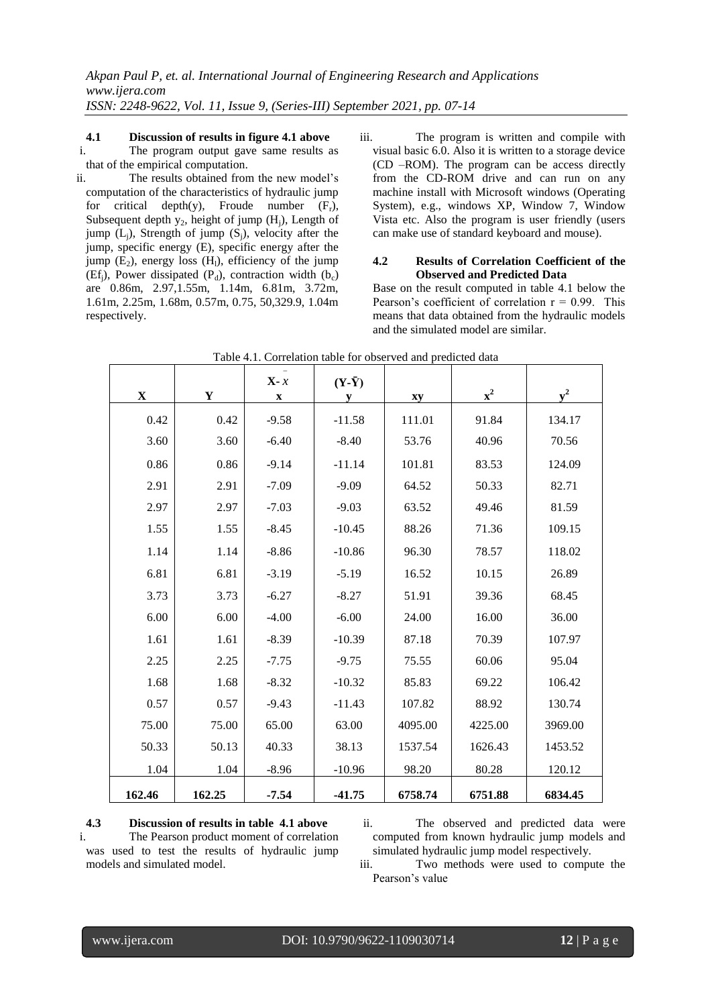#### **4.1 Discussion of results in figure 4.1 above**

i. The program output gave same results as that of the empirical computation.

- ii. The results obtained from the new model's computation of the characteristics of hydraulic jump for critical depth(y), Froude number  $(F_r)$ , Subsequent depth  $y_2$ , height of jump (H<sub>i</sub>), Length of jump  $(L_i)$ , Strength of jump  $(S_i)$ , velocity after the jump, specific energy (E), specific energy after the jump  $(E_2)$ , energy loss  $(H_1)$ , efficiency of the jump (Ef<sub>i</sub>), Power dissipated (P<sub>d</sub>), contraction width (b<sub>c</sub>) are 0.86m, 2.97,1.55m, 1.14m, 6.81m, 3.72m, 1.61m, 2.25m, 1.68m, 0.57m, 0.75, 50,329.9, 1.04m respectively.
- iii. The program is written and compile with visual basic 6.0. Also it is written to a storage device (CD –ROM). The program can be access directly from the CD-ROM drive and can run on any machine install with Microsoft windows (Operating System), e.g., windows XP, Window 7, Window Vista etc. Also the program is user friendly (users can make use of standard keyboard and mouse).

#### **4.2 Results of Correlation Coefficient of the Observed and Predicted Data**

Base on the result computed in table 4.1 below the Pearson's coefficient of correlation  $r = 0.99$ . This means that data obtained from the hydraulic models and the simulated model are similar.

| $\mathbf X$ | $\mathbf Y$ | $X - x$<br>$\mathbf X$ | $(Y-\bar{Y})$<br>y | xy      | $\mathbf{x}^2$ | $v^2$   |  |
|-------------|-------------|------------------------|--------------------|---------|----------------|---------|--|
| 0.42        | 0.42        | $-9.58$                | $-11.58$           | 111.01  | 91.84          | 134.17  |  |
| 3.60        | 3.60        | $-6.40$                | $-8.40$            | 53.76   | 40.96          | 70.56   |  |
| 0.86        | 0.86        | $-9.14$                | $-11.14$           | 101.81  | 83.53          | 124.09  |  |
| 2.91        | 2.91        | $-7.09$                | $-9.09$            | 64.52   | 50.33          | 82.71   |  |
| 2.97        | 2.97        | $-7.03$                | $-9.03$            | 63.52   | 49.46          | 81.59   |  |
| 1.55        | 1.55        | $-8.45$                | $-10.45$           | 88.26   | 71.36          | 109.15  |  |
| 1.14        | 1.14        | $-8.86$                | $-10.86$           | 96.30   | 78.57          | 118.02  |  |
| 6.81        | 6.81        | $-3.19$                | $-5.19$            | 16.52   | 10.15          | 26.89   |  |
| 3.73        | 3.73        | $-6.27$                | $-8.27$            | 51.91   | 39.36          | 68.45   |  |
| 6.00        | 6.00        | $-4.00$                | $-6.00$            | 24.00   | 16.00          | 36.00   |  |
| 1.61        | 1.61        | $-8.39$                | $-10.39$           | 87.18   | 70.39          | 107.97  |  |
| 2.25        | 2.25        | $-7.75$                | $-9.75$            | 75.55   | 60.06          | 95.04   |  |
| 1.68        | 1.68        | $-8.32$                | $-10.32$           | 85.83   | 69.22          | 106.42  |  |
| 0.57        | 0.57        | $-9.43$                | $-11.43$           | 107.82  | 88.92          | 130.74  |  |
| 75.00       | 75.00       | 65.00                  | 63.00              | 4095.00 | 4225.00        | 3969.00 |  |
| 50.33       | 50.13       | 40.33                  | 38.13              | 1537.54 | 1626.43        | 1453.52 |  |
| 1.04        | 1.04        | $-8.96$                | $-10.96$           | 98.20   | 80.28          | 120.12  |  |
| 162.46      | 162.25      | $-7.54$                | $-41.75$           | 6758.74 | 6751.88        | 6834.45 |  |

| Table 4.1. Correlation table for observed and predicted data |  |  |  |
|--------------------------------------------------------------|--|--|--|
|                                                              |  |  |  |

**4.3 Discussion of results in table 4.1 above** i. The Pearson product moment of correlation was used to test the results of hydraulic jump models and simulated model.

ii. The observed and predicted data were computed from known hydraulic jump models and simulated hydraulic jump model respectively.

iii. Two methods were used to compute the Pearson's value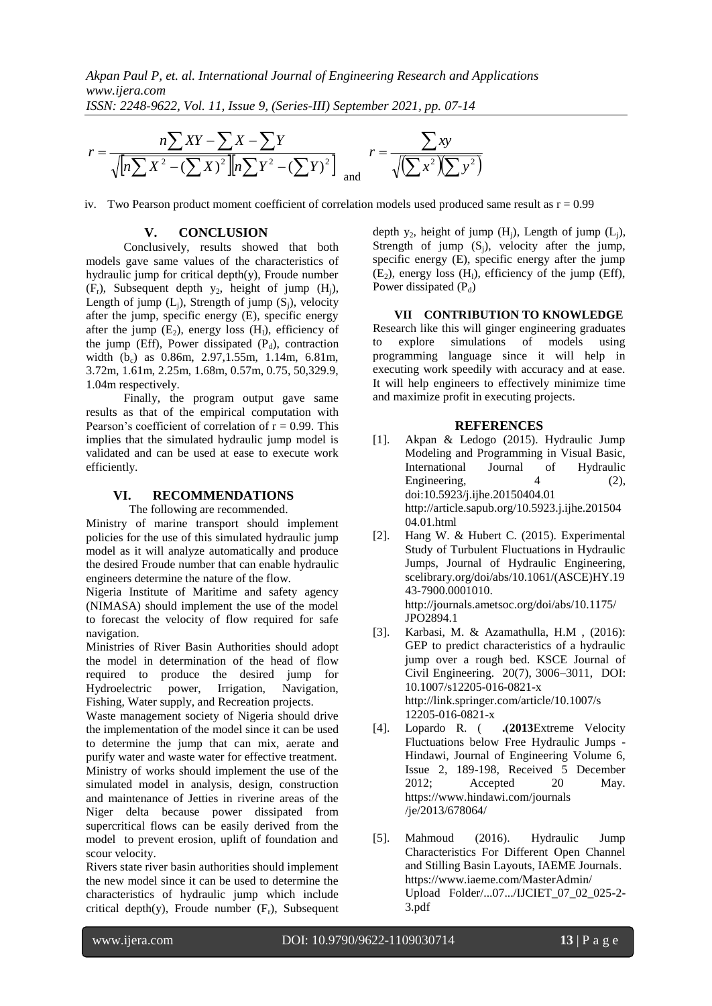

iv. Two Pearson product moment coefficient of correlation models used produced same result as  $r = 0.99$ 

## **V. CONCLUSION**

 $\sqrt{|n\sum X^2 - (\sum X)^2||n\sum Y^2 - (\sum Y)^2|}$ <br>
7. Two Pearson product moment coefficient of corrowing the conduct of the conduct of the characteristics of the characteristics of the conductively, results showed that both dydraile jump Conclusively, results showed that both models gave same values of the characteristics of hydraulic jump for critical depth $(y)$ , Froude number  $(F_r)$ , Subsequent depth  $y_2$ , height of jump  $(H_i)$ , Length of jump  $(L_i)$ , Strength of jump  $(S_i)$ , velocity after the jump, specific energy (E), specific energy after the jump  $(E_2)$ , energy loss  $(H_1)$ , efficiency of the jump (Eff), Power dissipated  $(P_d)$ , contraction width (b<sub>c</sub>) as 0.86m, 2.97,1.55m, 1.14m, 6.81m, 3.72m, 1.61m, 2.25m, 1.68m, 0.57m, 0.75, 50,329.9, 1.04m respectively.

Finally, the program output gave same results as that of the empirical computation with Pearson's coefficient of correlation of  $r = 0.99$ . This implies that the simulated hydraulic jump model is validated and can be used at ease to execute work efficiently.

## **VI. RECOMMENDATIONS**

The following are recommended.

Ministry of marine transport should implement policies for the use of this simulated hydraulic jump model as it will analyze automatically and produce the desired Froude number that can enable hydraulic engineers determine the nature of the flow.

Nigeria Institute of Maritime and safety agency (NIMASA) should implement the use of the model to forecast the velocity of flow required for safe navigation.

Ministries of River Basin Authorities should adopt the model in determination of the head of flow required to produce the desired jump for Hydroelectric power, Irrigation, Navigation, Fishing, Water supply, and Recreation projects.

Waste management society of Nigeria should drive the implementation of the model since it can be used to determine the jump that can mix, aerate and purify water and waste water for effective treatment. Ministry of works should implement the use of the simulated model in analysis, design, construction and maintenance of Jetties in riverine areas of the Niger delta because power dissipated from supercritical flows can be easily derived from the model to prevent erosion, uplift of foundation and scour velocity.

Rivers state river basin authorities should implement the new model since it can be used to determine the characteristics of hydraulic jump which include critical depth(y), Froude number  $(F_r)$ , Subsequent depth  $y_2$ , height of jump (H<sub>i</sub>), Length of jump (L<sub>i</sub>), Strength of jump  $(S_i)$ , velocity after the jump, specific energy (E), specific energy after the jump  $(E_2)$ , energy loss  $(H_1)$ , efficiency of the jump (Eff), Power dissipated  $(P_d)$ 

**VII CONTRIBUTION TO KNOWLEDGE** Research like this will ginger engineering graduates to explore simulations of models using programming language since it will help in executing work speedily with accuracy and at ease. It will help engineers to effectively minimize time and maximize profit in executing projects.

#### **REFERENCES**

- [1]. Akpan & Ledogo (2015). Hydraulic Jump Modeling and Programming in Visual Basic, International Journal of Hydraulic Engineering, 4 (2), doi:10.5923/j.ijhe.20150404.01 [http://article.sapub.org/10.5923.j.ijhe.201504](http://article.sapub.org/10.5923.j.ijhe.20150404.01.html) [04.01.html](http://article.sapub.org/10.5923.j.ijhe.20150404.01.html)
- [2]. [Hang W.](http://ascelibrary.org/author/Wang%2C+Hang) & [Hubert C.](http://ascelibrary.org/author/Chanson%2C+Hubert) (2015). Experimental Study of Turbulent Fluctuations in Hydraulic Jumps, Journal of Hydraulic Engineering, scelibrary.org/doi/abs/10.1061/(ASCE)HY.19 43-7900.0001010. [http://journals.ametsoc.org/doi/abs/10.1175/](http://journals.ametsoc.org/doi/abs/10.1175/%20JPO2894.1)  [JPO2894.1](http://journals.ametsoc.org/doi/abs/10.1175/%20JPO2894.1)
- [3]. Karbasi, M. & Azamathulla, H.M , (2016): GEP to predict characteristics of a hydraulic jump over a rough bed. KSCE Journal of Civil Engineering. 20(7), 3006–3011, DOI: 10.1007/s12205-016-0821-x [http://link.springer.com/article/10.1007/s](http://link.springer.com/article/10.1007/s%2012205-016-0821-x)  [12205-016-0821-x](http://link.springer.com/article/10.1007/s%2012205-016-0821-x)
- [4]. Lopardo R. ( **.)2013**[Extreme Velocity](https://www.hindawi.com/journals/je/2013/678064/)  [Fluctuations below Free Hydraulic Jumps -](https://www.hindawi.com/journals/je/2013/678064/) [Hindawi,](https://www.hindawi.com/journals/je/2013/678064/) Journal of Engineering [Volume 6,](http://www.sciencedirect.com/science/journal/16742370/6/2)  [Issue 2,](http://www.sciencedirect.com/science/journal/16742370/6/2) 189-198, Received 5 December 2012; Accepted 20 May. [https://www.hindawi.com/journals](https://www.hindawi.com/journals%20/je/2013/678064/)  [/je/2013/678064/](https://www.hindawi.com/journals%20/je/2013/678064/)
- [5]. Mahmoud (2016). Hydraulic Jump Characteristics For Different Open Channel and Stilling Basin Layouts, IAEME Journals. https:/[/www.iaeme.com/MasterAdmin/](http://www.iaeme.com/MasterAdmin/%20Upload%20Folder/...07.../IJCIET_07_02_025-2-3.pdf)  [Upload Folder/...07.../IJCIET\\_07\\_02\\_025-2-](http://www.iaeme.com/MasterAdmin/%20Upload%20Folder/...07.../IJCIET_07_02_025-2-3.pdf) [3.pdf](http://www.iaeme.com/MasterAdmin/%20Upload%20Folder/...07.../IJCIET_07_02_025-2-3.pdf)